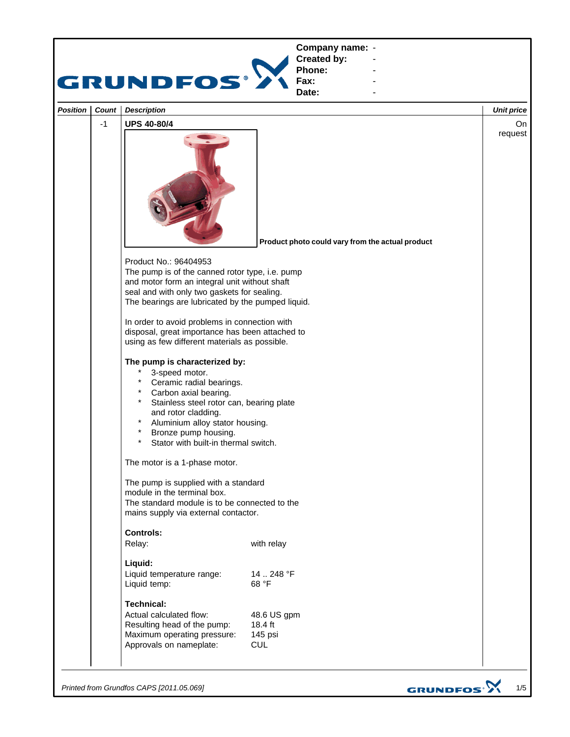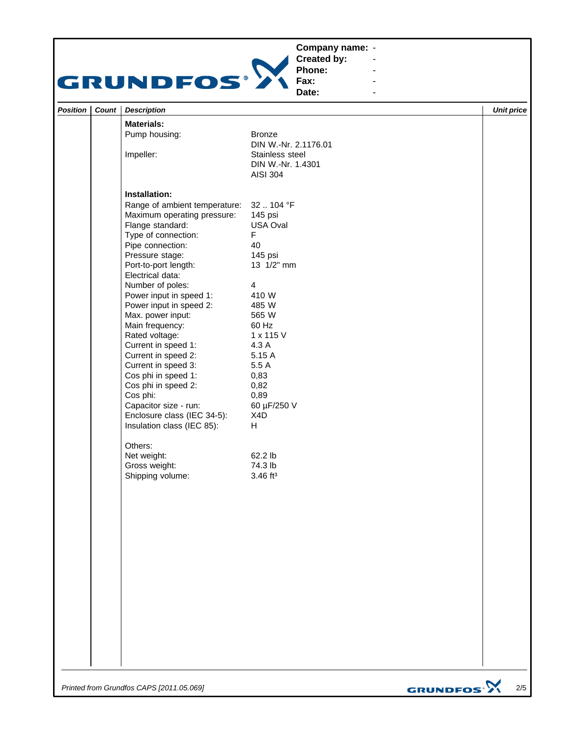## **Company name: -** Construction of the construction



**Created by: Phone:**

**Fax: Date:**

| - |  |  |
|---|--|--|
|   |  |  |
|   |  |  |

**-** Andrew March 2014 **-** Andrew March 2014 **-** Andrew March 2014

| <b>Position</b> | Count | <b>Description</b>            |                        | <b>Unit price</b> |
|-----------------|-------|-------------------------------|------------------------|-------------------|
|                 |       | <b>Materials:</b>             |                        |                   |
|                 |       | Pump housing:                 | <b>Bronze</b>          |                   |
|                 |       |                               | DIN W.-Nr. 2.1176.01   |                   |
|                 |       | Impeller:                     | Stainless steel        |                   |
|                 |       |                               | DIN W.-Nr. 1.4301      |                   |
|                 |       |                               | <b>AISI 304</b>        |                   |
|                 |       | Installation:                 |                        |                   |
|                 |       | Range of ambient temperature: | 32  104 °F             |                   |
|                 |       | Maximum operating pressure:   | 145 psi                |                   |
|                 |       | Flange standard:              | USA Oval               |                   |
|                 |       | Type of connection:           | F.                     |                   |
|                 |       | Pipe connection:              | 40                     |                   |
|                 |       | Pressure stage:               | 145 psi                |                   |
|                 |       | Port-to-port length:          | 13 1/2" mm             |                   |
|                 |       | Electrical data:              |                        |                   |
|                 |       | Number of poles:              | $\overline{4}$         |                   |
|                 |       | Power input in speed 1:       | 410 W                  |                   |
|                 |       | Power input in speed 2:       | 485 W                  |                   |
|                 |       | Max. power input:             | 565 W                  |                   |
|                 |       | Main frequency:               | 60 Hz                  |                   |
|                 |       | Rated voltage:                | 1 x 115 V              |                   |
|                 |       | Current in speed 1:           | 4.3 A                  |                   |
|                 |       | Current in speed 2:           | 5.15 A                 |                   |
|                 |       | Current in speed 3:           | 5.5 A                  |                   |
|                 |       | Cos phi in speed 1:           | 0,83                   |                   |
|                 |       | Cos phi in speed 2:           | 0,82                   |                   |
|                 |       | Cos phi:                      | 0,89                   |                   |
|                 |       | Capacitor size - run:         | 60 µF/250 V            |                   |
|                 |       | Enclosure class (IEC 34-5):   | X4D                    |                   |
|                 |       | Insulation class (IEC 85):    | H                      |                   |
|                 |       | Others:                       |                        |                   |
|                 |       | Net weight:                   | 62.2 lb                |                   |
|                 |       | Gross weight:                 | 74.3 lb                |                   |
|                 |       | Shipping volume:              | $3.46$ ft <sup>3</sup> |                   |
|                 |       |                               |                        |                   |
|                 |       |                               |                        |                   |
|                 |       |                               |                        |                   |
|                 |       |                               |                        |                   |
|                 |       |                               |                        |                   |
|                 |       |                               |                        |                   |
|                 |       |                               |                        |                   |
|                 |       |                               |                        |                   |
|                 |       |                               |                        |                   |
|                 |       |                               |                        |                   |
|                 |       |                               |                        |                   |
|                 |       |                               |                        |                   |
|                 |       |                               |                        |                   |
|                 |       |                               |                        |                   |
|                 |       |                               |                        |                   |

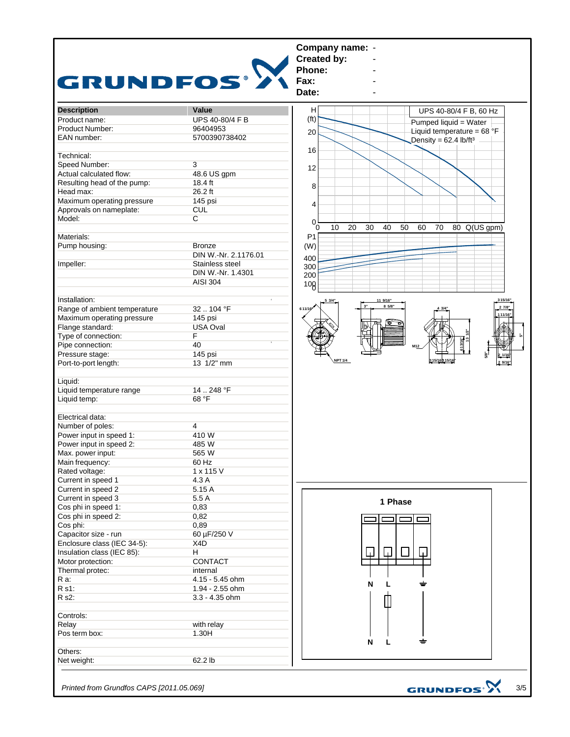

*Printed from Grundfos CAPS [2011.05.069]*

3/5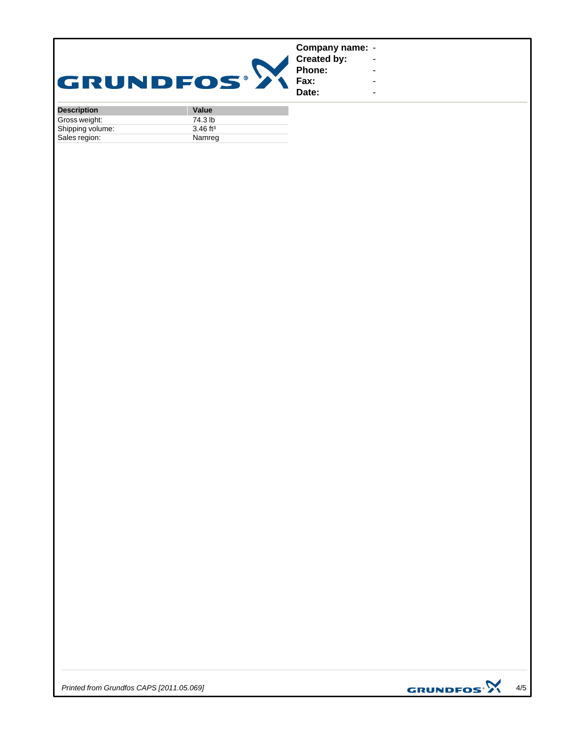| <b>GRUNDFOS®</b> |           | Company name: -<br><b>Created by:</b><br>Phone:<br>Fax:<br>Date: | $\sim$<br>$\overline{\phantom{a}}$<br>۰<br>- |
|------------------|-----------|------------------------------------------------------------------|----------------------------------------------|
| Desartation      | $M = 1.1$ |                                                                  |                                              |

| <b>Description</b> | Value                  |
|--------------------|------------------------|
| Gross weight:      | 74.3 lb                |
| Shipping volume:   | $3.46$ ft <sup>3</sup> |
| Sales region:      | Namreg                 |

*Printed from Grundfos CAPS [2011.05.069]*